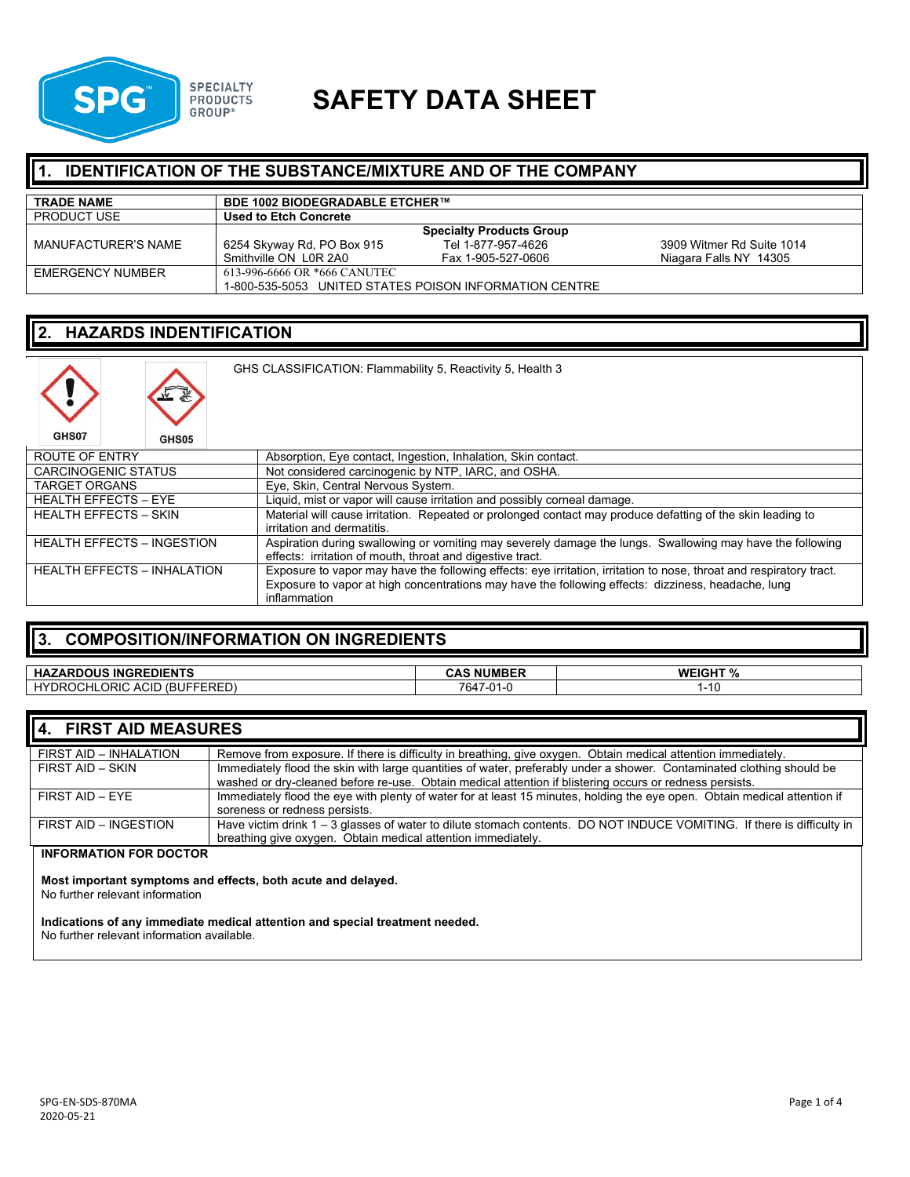

# **SAFETY DATA SHEET**

### **IDENTIFICATION OF THE SUBSTANCE/MIXTURE AND OF THE COMPANY**

| <b>TRADE NAME</b>   | <b>BDE 1002 BIODEGRADABLE ETCHER™</b> |                                                        |                           |
|---------------------|---------------------------------------|--------------------------------------------------------|---------------------------|
| <b>PRODUCT USE</b>  | <b>Used to Etch Concrete</b>          |                                                        |                           |
|                     |                                       | <b>Specialty Products Group</b>                        |                           |
| MANUFACTURER'S NAME | 6254 Skyway Rd, PO Box 915            | Tel 1-877-957-4626                                     | 3909 Witmer Rd Suite 1014 |
|                     | Smithville ON L0R 2A0                 | Fax 1-905-527-0606                                     | Niagara Falls NY 14305    |
| EMERGENCY NUMBER    | 613-996-6666 OR *666 CANUTEC          |                                                        |                           |
|                     |                                       | 1-800-535-5053 UNITED STATES POISON INFORMATION CENTRE |                           |

## **2. HAZARDS INDENTIFICATION**

| GHS CLASSIFICATION: Flammability 5, Reactivity 5, Health 3 |              |                                                                                                                                                                                                                                           |
|------------------------------------------------------------|--------------|-------------------------------------------------------------------------------------------------------------------------------------------------------------------------------------------------------------------------------------------|
| GHS07                                                      | <b>GHS05</b> |                                                                                                                                                                                                                                           |
| <b>ROUTE OF ENTRY</b>                                      |              | Absorption, Eye contact, Ingestion, Inhalation, Skin contact.                                                                                                                                                                             |
| <b>CARCINOGENIC STATUS</b>                                 |              | Not considered carcinogenic by NTP, IARC, and OSHA.                                                                                                                                                                                       |
| <b>TARGET ORGANS</b>                                       |              | Eye, Skin, Central Nervous System.                                                                                                                                                                                                        |
| <b>HEALTH EFFECTS - EYE</b>                                |              | Liquid, mist or vapor will cause irritation and possibly corneal damage.                                                                                                                                                                  |
| <b>HEALTH EFFECTS - SKIN</b>                               |              | Material will cause irritation. Repeated or prolonged contact may produce defatting of the skin leading to<br>irritation and dermatitis.                                                                                                  |
| <b>HEALTH EFFECTS - INGESTION</b>                          |              | Aspiration during swallowing or vomiting may severely damage the lungs. Swallowing may have the following<br>effects: irritation of mouth, throat and digestive tract.                                                                    |
| <b>HEALTH EFFECTS - INHALATION</b>                         |              | Exposure to vapor may have the following effects: eye irritation, irritation to nose, throat and respiratory tract.<br>Exposure to vapor at high concentrations may have the following effects: dizziness, headache, lung<br>inflammation |

## **3. COMPOSITION/INFORMATION ON INGREDIENTS**

| <b>ZARDOUS INGREDIENTS</b><br><b>HAZ</b>                                 | <b>NUMBER</b><br>$\sim$ $\sim$<br>ᅛ   | <b>WEIGHT %</b><br>- 70 |
|--------------------------------------------------------------------------|---------------------------------------|-------------------------|
| <b>DROCHLORIC ACID</b><br>---<br>HY'<br>BUF،<br>$\sqrt{D}$<br>.<br>ENEV- | 7647<br>$^{\circ}$<br>/−∪ I −\<br>. . | ט ו                     |

| 4. FIRST AID MEASURES  |                                                                                                                           |
|------------------------|---------------------------------------------------------------------------------------------------------------------------|
| FIRST AID - INHALATION | Remove from exposure. If there is difficulty in breathing, give oxygen. Obtain medical attention immediately.             |
| FIRST AID - SKIN       | Immediately flood the skin with large quantities of water, preferably under a shower. Contaminated clothing should be     |
|                        | washed or dry-cleaned before re-use. Obtain medical attention if blistering occurs or redness persists.                   |
| FIRST AID - EYE        | Immediately flood the eye with plenty of water for at least 15 minutes, holding the eye open. Obtain medical attention if |
|                        | soreness or redness persists.                                                                                             |
| FIRST AID - INGESTION  | Have victim drink 1 - 3 glasses of water to dilute stomach contents. DO NOT INDUCE VOMITING. If there is difficulty in    |
|                        | breathing give oxygen. Obtain medical attention immediately.                                                              |
| INFORMATION FOR BOCTOR |                                                                                                                           |

#### **INFORMATION FOR DOCTOR**

**Most important symptoms and effects, both acute and delayed.**

No further relevant information

**Indications of any immediate medical attention and special treatment needed.**

No further relevant information available.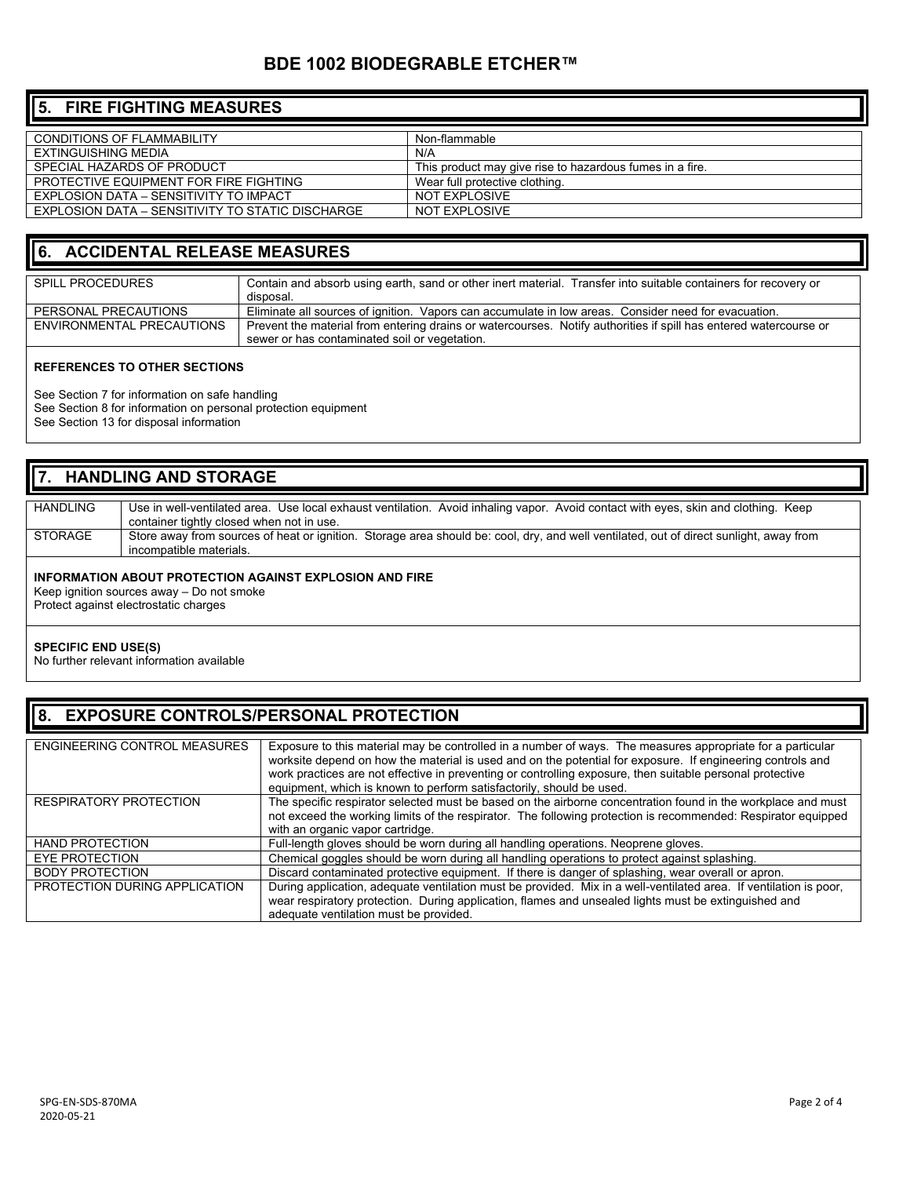### **BDE 1002 BIODEGRABLE ETCHER™**

## **5. FIRE FIGHTING MEASURES**

| Non-flammable                                            |
|----------------------------------------------------------|
| N/A                                                      |
| This product may give rise to hazardous fumes in a fire. |
| Wear full protective clothing.                           |
| NOT EXPLOSIVE                                            |
| NOT EXPLOSIVE                                            |
|                                                          |

### **6. ACCIDENTAL RELEASE MEASURES**

| <b>SPILL PROCEDURES</b>   | Contain and absorb using earth, sand or other inert material. Transfer into suitable containers for recovery or<br>disposal.                                       |
|---------------------------|--------------------------------------------------------------------------------------------------------------------------------------------------------------------|
| PERSONAL PRECAUTIONS      | Eliminate all sources of ignition. Vapors can accumulate in low areas. Consider need for evacuation.                                                               |
| ENVIRONMENTAL PRECAUTIONS | Prevent the material from entering drains or watercourses. Notify authorities if spill has entered watercourse or<br>sewer or has contaminated soil or vegetation. |

#### **REFERENCES TO OTHER SECTIONS**

See Section 7 for information on safe handling

See Section 8 for information on personal protection equipment

See Section 13 for disposal information

## **7. HANDLING AND STORAGE** HANDLING Use in well-ventilated area. Use local exhaust ventilation. Avoid inhaling vapor. Avoid contact with eyes, skin and clothing. Keep

| 1 INITULIITU | USE IN WEINTER MINISTER COUNTRY TO BE NOT THE COUNTRY OF THE COUNTRY OF THE COUNTRY OF THE COUNTRY OF THE COUNTRY THE COUNTRY.                                    |
|--------------|-------------------------------------------------------------------------------------------------------------------------------------------------------------------|
|              | container tightly closed when not in use.                                                                                                                         |
| STORAGE      | Store away from sources of heat or ignition. Storage area should be: cool, dry, and well ventilated, out of direct sunlight, away from<br>incompatible materials. |
|              |                                                                                                                                                                   |

### **INFORMATION ABOUT PROTECTION AGAINST EXPLOSION AND FIRE**

Keep ignition sources away – Do not smoke Protect against electrostatic charges

#### **SPECIFIC END USE(S)**

No further relevant information available

## **8. EXPOSURE CONTROLS/PERSONAL PROTECTION**

| <b>ENGINEERING CONTROL MEASURES</b> | Exposure to this material may be controlled in a number of ways. The measures appropriate for a particular<br>worksite depend on how the material is used and on the potential for exposure. If engineering controls and<br>work practices are not effective in preventing or controlling exposure, then suitable personal protective<br>equipment, which is known to perform satisfactorily, should be used. |
|-------------------------------------|---------------------------------------------------------------------------------------------------------------------------------------------------------------------------------------------------------------------------------------------------------------------------------------------------------------------------------------------------------------------------------------------------------------|
| RESPIRATORY PROTECTION              | The specific respirator selected must be based on the airborne concentration found in the workplace and must<br>not exceed the working limits of the respirator. The following protection is recommended: Respirator equipped<br>with an organic vapor cartridge.                                                                                                                                             |
| <b>HAND PROTECTION</b>              | Full-length gloves should be worn during all handling operations. Neoprene gloves.                                                                                                                                                                                                                                                                                                                            |
| <b>EYE PROTECTION</b>               | Chemical goggles should be worn during all handling operations to protect against splashing.                                                                                                                                                                                                                                                                                                                  |
| <b>BODY PROTECTION</b>              | Discard contaminated protective equipment. If there is danger of splashing, wear overall or apron.                                                                                                                                                                                                                                                                                                            |
| PROTECTION DURING APPLICATION       | During application, adequate ventilation must be provided. Mix in a well-ventilated area. If ventilation is poor,<br>wear respiratory protection. During application, flames and unsealed lights must be extinguished and<br>adequate ventilation must be provided.                                                                                                                                           |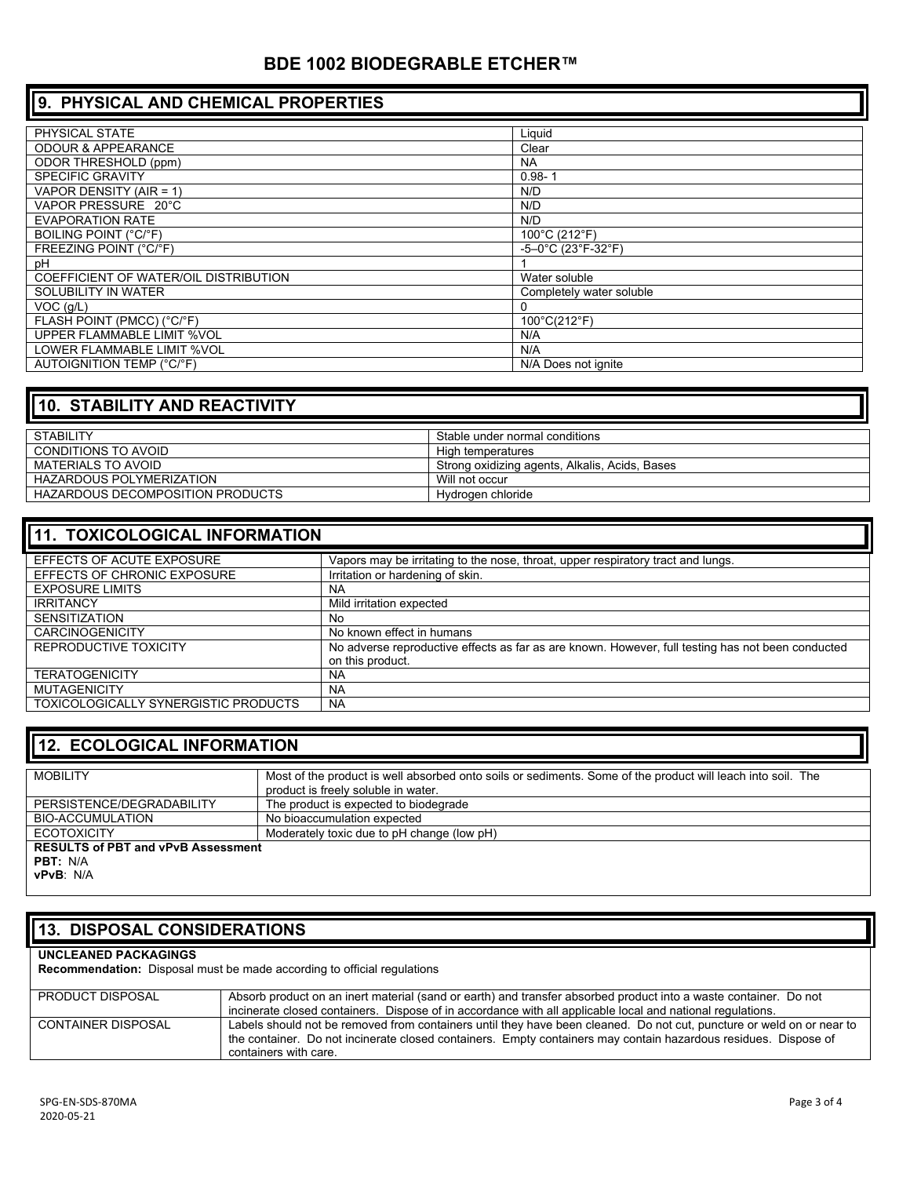### **BDE 1002 BIODEGRABLE ETCHER™**

## **9. PHYSICAL AND CHEMICAL PROPERTIES**

| PHYSICAL STATE                        | Liquid                   |
|---------------------------------------|--------------------------|
| <b>ODOUR &amp; APPEARANCE</b>         | Clear                    |
| <b>ODOR THRESHOLD (ppm)</b>           | <b>NA</b>                |
| <b>SPECIFIC GRAVITY</b>               | $0.98 - 1$               |
| VAPOR DENSITY (AIR = 1)               | N/D                      |
| VAPOR PRESSURE 20°C                   | N/D                      |
| <b>EVAPORATION RATE</b>               | N/D                      |
| BOILING POINT (°C/°F)                 | 100°C (212°F)            |
| FREEZING POINT (°C/°F)                | $-5-0$ °C (23°F-32°F)    |
| рH                                    |                          |
| COEFFICIENT OF WATER/OIL DISTRIBUTION | Water soluble            |
| SOLUBILITY IN WATER                   | Completely water soluble |
| VOC(q/L)                              | $\Omega$                 |
| FLASH POINT (PMCC) (°C/°F)            | 100°C(212°F)             |
| UPPER FLAMMABLE LIMIT %VOL            | N/A                      |
| <b>LOWER FLAMMABLE LIMIT %VOL</b>     | N/A                      |
| <b>AUTOIGNITION TEMP (°C/°F)</b>      | N/A Does not janite      |

## **10. STABILITY AND REACTIVITY**

| <b>STABILITY</b>                 | Stable under normal conditions                 |
|----------------------------------|------------------------------------------------|
| CONDITIONS TO AVOID              | High temperatures                              |
| MATERIALS TO AVOID               | Strong oxidizing agents, Alkalis, Acids, Bases |
| <b>HAZARDOUS POLYMERIZATION</b>  | Will not occur                                 |
| HAZARDOUS DECOMPOSITION PRODUCTS | Hydrogen chloride                              |

| <b>11. TOXICOLOGICAL INFORMATION</b> |                                                                                                   |  |
|--------------------------------------|---------------------------------------------------------------------------------------------------|--|
| EFFECTS OF ACUTE EXPOSURE            | Vapors may be irritating to the nose, throat, upper respiratory tract and lungs.                  |  |
| EFFECTS OF CHRONIC EXPOSURE          | Irritation or hardening of skin.                                                                  |  |
| <b>EXPOSURE LIMITS</b>               | <b>NA</b>                                                                                         |  |
| <b>IRRITANCY</b>                     | Mild irritation expected                                                                          |  |
| <b>SENSITIZATION</b>                 | No                                                                                                |  |
| <b>CARCINOGENICITY</b>               | No known effect in humans                                                                         |  |
| REPRODUCTIVE TOXICITY                | No adverse reproductive effects as far as are known. However, full testing has not been conducted |  |
|                                      | on this product.                                                                                  |  |
| <b>TERATOGENICITY</b>                | NA.                                                                                               |  |
| <b>MUTAGENICITY</b>                  | <b>NA</b>                                                                                         |  |
| TOXICOLOGICALLY SYNERGISTIC PRODUCTS | <b>NA</b>                                                                                         |  |

### **12. ECOLOGICAL INFORMATION**

| Most of the product is well absorbed onto soils or sediments. Some of the product will leach into soil. The |
|-------------------------------------------------------------------------------------------------------------|
|                                                                                                             |
| product is freely soluble in water.                                                                         |
| The product is expected to biodegrade                                                                       |
|                                                                                                             |
| No bioaccumulation expected                                                                                 |
|                                                                                                             |
| Moderately toxic due to pH change (low pH)                                                                  |
| <b>RESULTS of PBT and vPvB Assessment</b>                                                                   |
|                                                                                                             |
|                                                                                                             |
|                                                                                                             |

**vPvB**: N/A

## **13. DISPOSAL CONSIDERATIONS**

### **UNCLEANED PACKAGINGS**

**Recommendation:** Disposal must be made according to official regulations

| PRODUCT DISPOSAL   | Absorb product on an inert material (sand or earth) and transfer absorbed product into a waste container. Do not                                                                                                                         |
|--------------------|------------------------------------------------------------------------------------------------------------------------------------------------------------------------------------------------------------------------------------------|
|                    | incinerate closed containers. Dispose of in accordance with all applicable local and national regulations.                                                                                                                               |
| CONTAINER DISPOSAL | Labels should not be removed from containers until they have been cleaned. Do not cut, puncture or weld on or near to<br>the container. Do not incinerate closed containers. Empty containers may contain hazardous residues. Dispose of |
|                    | containers with care.                                                                                                                                                                                                                    |